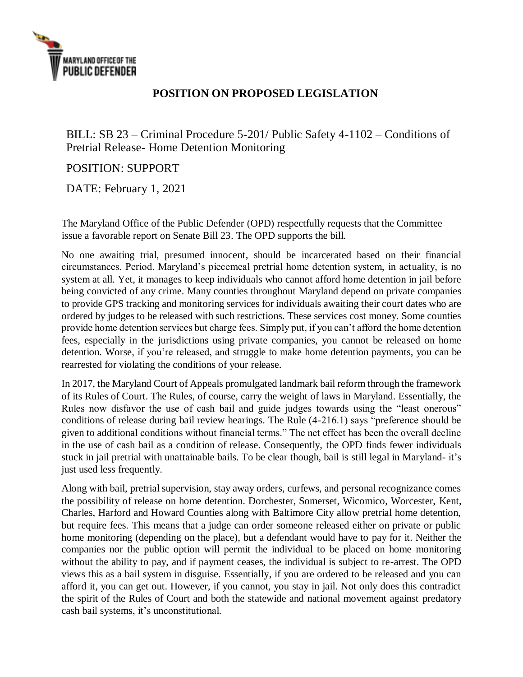

## **POSITION ON PROPOSED LEGISLATION**

BILL: SB 23 – Criminal Procedure 5-201/ Public Safety 4-1102 – Conditions of Pretrial Release- Home Detention Monitoring

## POSITION: SUPPORT

DATE: February 1, 2021

The Maryland Office of the Public Defender (OPD) respectfully requests that the Committee issue a favorable report on Senate Bill 23. The OPD supports the bill.

No one awaiting trial, presumed innocent, should be incarcerated based on their financial circumstances. Period. Maryland's piecemeal pretrial home detention system, in actuality, is no system at all. Yet, it manages to keep individuals who cannot afford home detention in jail before being convicted of any crime. Many counties throughout Maryland depend on private companies to provide GPS tracking and monitoring services for individuals awaiting their court dates who are ordered by judges to be released with such restrictions. These services cost money. Some counties provide home detention services but charge fees. Simply put, if you can't afford the home detention fees, especially in the jurisdictions using private companies, you cannot be released on home detention. Worse, if you're released, and struggle to make home detention payments, you can be rearrested for violating the conditions of your release.

In 2017, the Maryland Court of Appeals promulgated landmark bail reform through the framework of its Rules of Court. The Rules, of course, carry the weight of laws in Maryland. Essentially, the Rules now disfavor the use of cash bail and guide judges towards using the "least onerous" conditions of release during bail review hearings. The Rule (4-216.1) says "preference should be given to additional conditions without financial terms." The net effect has been the overall decline in the use of cash bail as a condition of release. Consequently, the OPD finds fewer individuals stuck in jail pretrial with unattainable bails. To be clear though, bail is still legal in Maryland- it's just used less frequently.

Along with bail, pretrial supervision, stay away orders, curfews, and personal recognizance comes the possibility of release on home detention. Dorchester, Somerset, Wicomico, Worcester, Kent, Charles, Harford and Howard Counties along with Baltimore City allow pretrial home detention, but require fees. This means that a judge can order someone released either on private or public home monitoring (depending on the place), but a defendant would have to pay for it. Neither the companies nor the public option will permit the individual to be placed on home monitoring without the ability to pay, and if payment ceases, the individual is subject to re-arrest. The OPD views this as a bail system in disguise. Essentially, if you are ordered to be released and you can afford it, you can get out. However, if you cannot, you stay in jail. Not only does this contradict the spirit of the Rules of Court and both the statewide and national movement against predatory cash bail systems, it's unconstitutional.